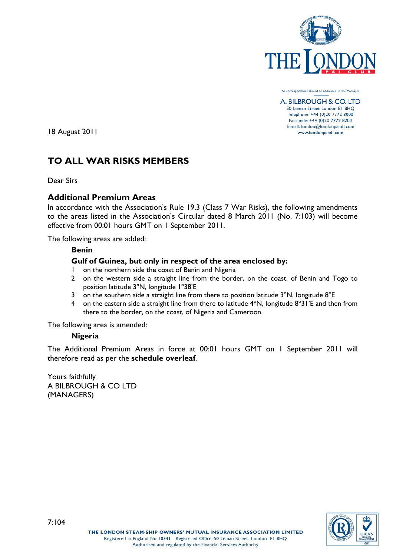

All correspondence should be addressed to the Managers

A. BILBROUGH & CO. LTD 50 Leman Street London El 8HQ Telephone: +44 (0)20 7772 8000 Facsimile: +44 (0)20 7772 8200 E-mail: london@londonpandi.com www.londonpandi.com

18 August 2011

# **TO ALL WAR RISKS MEMBERS**

Dear Sirs

## **Additional Premium Areas**

In accordance with the Association's Rule 19.3 (Class 7 War Risks), the following amendments to the areas listed in the Association's Circular dated 8 March 2011 (No. 7:103) will become effective from 00:01 hours GMT on 1 September 2011.

The following areas are added:

## **Benin**

## **Gulf of Guinea, but only in respect of the area enclosed by:**

- 1 on the northern side the coast of Benin and Nigeria
- 2 on the western side a straight line from the border, on the coast, of Benin and Togo to position latitude 3ºN, longitude 1º38'E
- 3 on the southern side a straight line from there to position latitude 3°N, longitude 8°E
- 4 on the eastern side a straight line from there to latitude 4°N, longitude 8°31'E and then from there to the border, on the coast, of Nigeria and Cameroon.

The following area is amended:

## **Nigeria**

The Additional Premium Areas in force at 00:01 hours GMT on 1 September 2011 will therefore read as per the **schedule overleaf**.

Yours faithfully A BILBROUGH & CO LTD (MANAGERS)